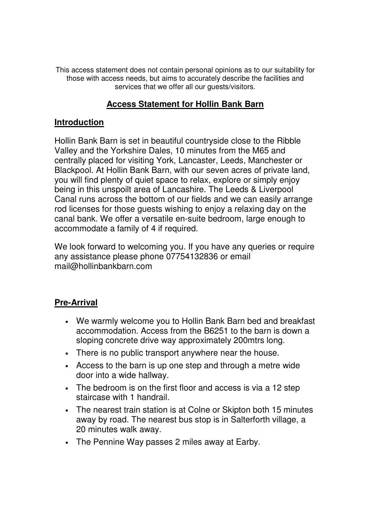This access statement does not contain personal opinions as to our suitability for those with access needs, but aims to accurately describe the facilities and services that we offer all our quests/visitors.

## **Access Statement for Hollin Bank Barn**

## **Introduction**

Hollin Bank Barn is set in beautiful countryside close to the Ribble Valley and the Yorkshire Dales, 10 minutes from the M65 and centrally placed for visiting York, Lancaster, Leeds, Manchester or Blackpool. At Hollin Bank Barn, with our seven acres of private land, you will find plenty of quiet space to relax, explore or simply enjoy being in this unspoilt area of Lancashire. The Leeds & Liverpool Canal runs across the bottom of our fields and we can easily arrange rod licenses for those guests wishing to enjoy a relaxing day on the canal bank. We offer a versatile en-suite bedroom, large enough to accommodate a family of 4 if required.

We look forward to welcoming you. If you have any queries or require any assistance please phone 07754132836 or email mail@hollinbankbarn.com

## **Pre-Arrival**

- We warmly welcome you to Hollin Bank Barn bed and breakfast accommodation. Access from the B6251 to the barn is down a sloping concrete drive way approximately 200mtrs long.
- There is no public transport anywhere near the house.
- Access to the barn is up one step and through a metre wide door into a wide hallway.
- The bedroom is on the first floor and access is via a 12 step staircase with 1 handrail.
- The nearest train station is at Colne or Skipton both 15 minutes away by road. The nearest bus stop is in Salterforth village, a 20 minutes walk away.
- The Pennine Way passes 2 miles away at Earby.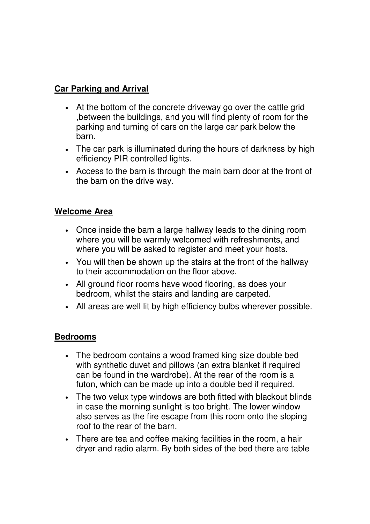# **Car Parking and Arrival**

- At the bottom of the concrete driveway go over the cattle grid ,between the buildings, and you will find plenty of room for the parking and turning of cars on the large car park below the barn.
- The car park is illuminated during the hours of darkness by high efficiency PIR controlled lights.
- Access to the barn is through the main barn door at the front of the barn on the drive way.

### **Welcome Area**

- Once inside the barn a large hallway leads to the dining room where you will be warmly welcomed with refreshments, and where you will be asked to register and meet your hosts.
- You will then be shown up the stairs at the front of the hallway to their accommodation on the floor above.
- All ground floor rooms have wood flooring, as does your bedroom, whilst the stairs and landing are carpeted.
- All areas are well lit by high efficiency bulbs wherever possible.

### **Bedrooms**

- The bedroom contains a wood framed king size double bed with synthetic duvet and pillows (an extra blanket if required can be found in the wardrobe). At the rear of the room is a futon, which can be made up into a double bed if required.
- The two velux type windows are both fitted with blackout blinds in case the morning sunlight is too bright. The lower window also serves as the fire escape from this room onto the sloping roof to the rear of the barn.
- There are tea and coffee making facilities in the room, a hair dryer and radio alarm. By both sides of the bed there are table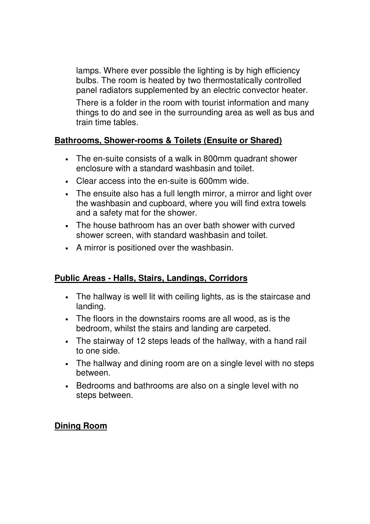lamps. Where ever possible the lighting is by high efficiency bulbs. The room is heated by two thermostatically controlled panel radiators supplemented by an electric convector heater.

There is a folder in the room with tourist information and many things to do and see in the surrounding area as well as bus and train time tables.

## **Bathrooms, Shower-rooms & Toilets (Ensuite or Shared)**

- The en-suite consists of a walk in 800mm quadrant shower enclosure with a standard washbasin and toilet.
- Clear access into the en-suite is 600mm wide.
- The ensuite also has a full length mirror, a mirror and light over the washbasin and cupboard, where you will find extra towels and a safety mat for the shower.
- The house bathroom has an over bath shower with curved shower screen, with standard washbasin and toilet.
- A mirror is positioned over the washbasin.

### **Public Areas - Halls, Stairs, Landings, Corridors**

- The hallway is well lit with ceiling lights, as is the staircase and landing.
- The floors in the downstairs rooms are all wood, as is the bedroom, whilst the stairs and landing are carpeted.
- The stairway of 12 steps leads of the hallway, with a hand rail to one side.
- The hallway and dining room are on a single level with no steps between.
- Bedrooms and bathrooms are also on a single level with no steps between.

### **Dining Room**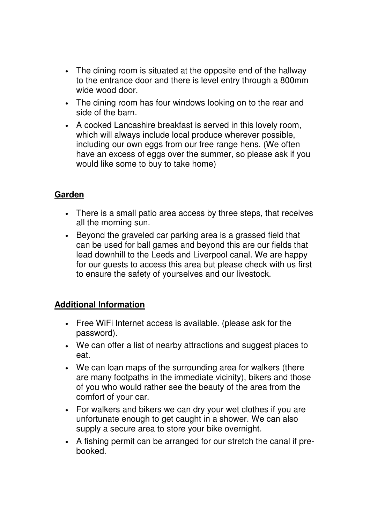- The dining room is situated at the opposite end of the hallway to the entrance door and there is level entry through a 800mm wide wood door.
- The dining room has four windows looking on to the rear and side of the barn
- A cooked Lancashire breakfast is served in this lovely room, which will always include local produce wherever possible, including our own eggs from our free range hens. (We often have an excess of eggs over the summer, so please ask if you would like some to buy to take home)

## **Garden**

- There is a small patio area access by three steps, that receives all the morning sun.
- Beyond the graveled car parking area is a grassed field that can be used for ball games and beyond this are our fields that lead downhill to the Leeds and Liverpool canal. We are happy for our guests to access this area but please check with us first to ensure the safety of yourselves and our livestock.

## **Additional Information**

- Free WiFi Internet access is available. (please ask for the password).
- We can offer a list of nearby attractions and suggest places to eat.
- We can loan maps of the surrounding area for walkers (there are many footpaths in the immediate vicinity), bikers and those of you who would rather see the beauty of the area from the comfort of your car.
- For walkers and bikers we can dry your wet clothes if you are unfortunate enough to get caught in a shower. We can also supply a secure area to store your bike overnight.
- A fishing permit can be arranged for our stretch the canal if prebooked.